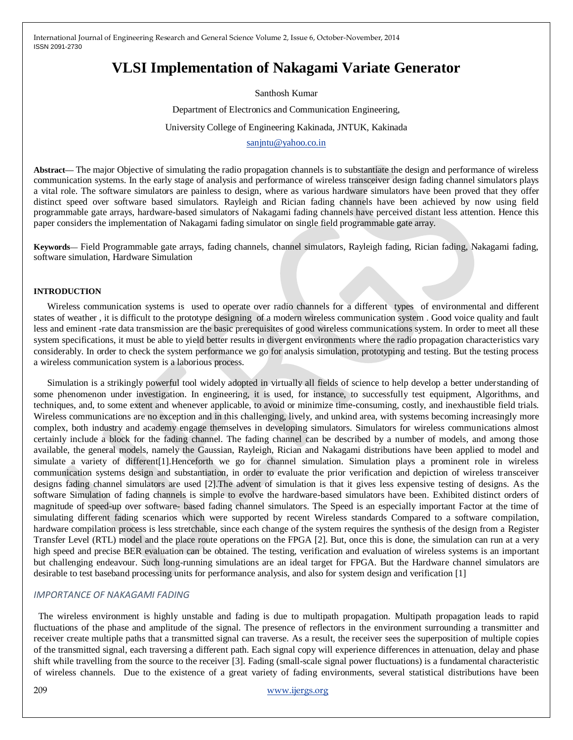# **VLSI Implementation of Nakagami Variate Generator**

Santhosh Kumar

Department of Electronics and Communication Engineering,

University College of Engineering Kakinada, JNTUK, Kakinada

## [sanjntu@yahoo.co.in](mailto:sanjntu@yahoo.co.in)

**Abstract—** The major Objective of simulating the radio propagation channels is to substantiate the design and performance of wireless communication systems. In the early stage of analysis and performance of wireless transceiver design fading channel simulators plays a vital role. The software simulators are painless to design, where as various hardware simulators have been proved that they offer distinct speed over software based simulators. Rayleigh and Rician fading channels have been achieved by now using field programmable gate arrays, hardware-based simulators of Nakagami fading channels have perceived distant less attention. Hence this paper considers the implementation of Nakagami fading simulator on single field programmable gate array.

**Keywords—** Field Programmable gate arrays, fading channels, channel simulators, Rayleigh fading, Rician fading, Nakagami fading, software simulation, Hardware Simulation

#### **INTRODUCTION**

Wireless communication systems is used to operate over radio channels for a different types of environmental and different states of weather , it is difficult to the prototype designing of a modern wireless communication system . Good voice quality and fault less and eminent -rate data transmission are the basic prerequisites of good wireless communications system. In order to meet all these system specifications, it must be able to yield better results in divergent environments where the radio propagation characteristics vary considerably. In order to check the system performance we go for analysis simulation, prototyping and testing. But the testing process a wireless communication system is a laborious process.

Simulation is a strikingly powerful tool widely adopted in virtually all fields of science to help develop a better understanding of some phenomenon under investigation. In engineering, it is used, for instance, to successfully test equipment, Algorithms, and techniques, and, to some extent and whenever applicable, to avoid or minimize time-consuming, costly, and inexhaustible field trials. Wireless communications are no exception and in this challenging, lively, and unkind area, with systems becoming increasingly more complex, both industry and academy engage themselves in developing simulators. Simulators for wireless communications almost certainly include a block for the fading channel. The fading channel can be described by a number of models, and among those available, the general models, namely the Gaussian, Rayleigh, Rician and Nakagami distributions have been applied to model and simulate a variety of different[1].Henceforth we go for channel simulation. Simulation plays a prominent role in wireless communication systems design and substantiation, in order to evaluate the prior verification and depiction of wireless transceiver designs fading channel simulators are used [2].The advent of simulation is that it gives less expensive testing of designs. As the software Simulation of fading channels is simple to evolve the hardware-based simulators have been. Exhibited distinct orders of magnitude of speed-up over software- based fading channel simulators. The Speed is an especially important Factor at the time of simulating different fading scenarios which were supported by recent Wireless standards Compared to a software compilation, hardware compilation process is less stretchable, since each change of the system requires the synthesis of the design from a Register Transfer Level (RTL) model and the place route operations on the FPGA [2]. But, once this is done, the simulation can run at a very high speed and precise BER evaluation can be obtained. The testing, verification and evaluation of wireless systems is an important but challenging endeavour. Such long-running simulations are an ideal target for FPGA. But the Hardware channel simulators are desirable to test baseband processing units for performance analysis, and also for system design and verification [1]

#### *IMPORTANCE OF NAKAGAMI FADING*

 The wireless environment is highly unstable and fading is due to multipath propagation. Multipath propagation leads to rapid fluctuations of the phase and amplitude of the signal. The presence of reflectors in the environment surrounding a transmitter and receiver create multiple paths that a transmitted signal can traverse. As a result, the receiver sees the superposition of multiple copies of the transmitted signal, each traversing a different path. Each signal copy will experience differences in attenuation, delay and phase shift while travelling from the source to the receiver [3]. Fading (small-scale signal power fluctuations) is a fundamental characteristic of wireless channels. Due to the existence of a great variety of fading environments, several statistical distributions have been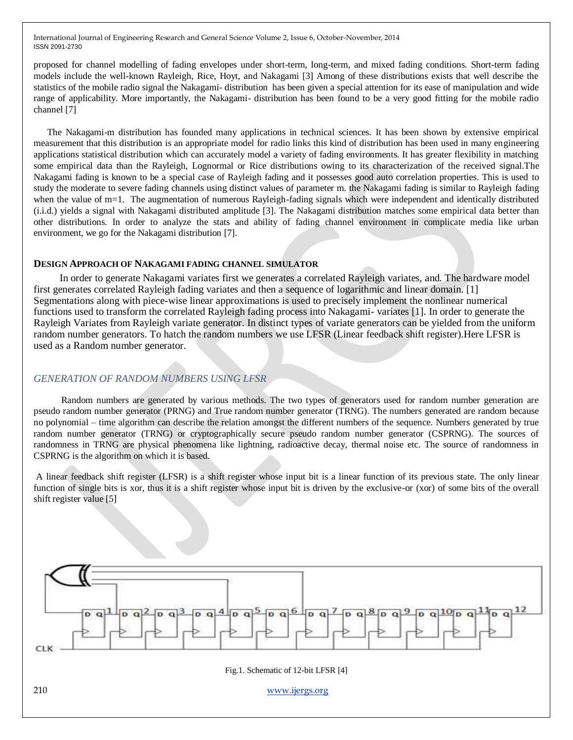proposed for channel modelling of fading envelopes under short-term, long-term, and mixed fading conditions. Short-term fading models include the well-known Rayleigh, Rice, Hoyt, and Nakagami [3] Among of these distributions exists that well describe the statistics of the mobile radio signal the Nakagami- distribution has been given a special attention for its ease of manipulation and wide range of applicability. More importantly, the Nakagami- distribution has been found to be a very good fitting for the mobile radio channel [7]

The Nakagami-m distribution has founded many applications in technical sciences. It has been shown by extensive empirical measurement that this distribution is an appropriate model for radio links this kind of distribution has been used in many engineering applications statistical distribution which can accurately model a variety of fading environments. It has greater flexibility in matching some empirical data than the Rayleigh, Lognormal or Rice distributions owing to its characterization of the received signal.The Nakagami fading is known to be a special case of Rayleigh fading and it possesses good auto correlation properties. This is used to study the moderate to severe fading channels using distinct values of parameter m. the Nakagami fading is similar to Rayleigh fading when the value of m=1. The augmentation of numerous Rayleigh-fading signals which were independent and identically distributed (i.i.d.) yields a signal with Nakagami distributed amplitude [3]. The Nakagami distribution matches some empirical data better than other distributions. In order to analyze the stats and ability of fading channel environment in complicate media like urban environment, we go for the Nakagami distribution [7].

## **DESIGN APPROACH OF NAKAGAMI FADING CHANNEL SIMULATOR**

 In order to generate Nakagami variates first we generates a correlated Rayleigh variates, and. The hardware model first generates correlated Rayleigh fading variates and then a sequence of logarithmic and linear domain. [1] Segmentations along with piece-wise linear approximations is used to precisely implement the nonlinear numerical functions used to transform the correlated Rayleigh fading process into Nakagami- variates [1]. In order to generate the Rayleigh Variates from Rayleigh variate generator. In distinct types of variate generators can be yielded from the uniform random number generators. To hatch the random numbers we use LFSR (Linear feedback shift register).Here LFSR is used as a Random number generator.

# *GENERATION OF RANDOM NUMBERS USING LFSR*

 Random numbers are generated by various methods. The two types of generators used for random number generation are pseudo random number generator (PRNG) and True random number generator (TRNG). The numbers generated are random because no polynomial – time algorithm can describe the relation amongst the different numbers of the sequence. Numbers generated by true random number generator (TRNG) or cryptographically secure pseudo random number generator (CSPRNG). The sources of randomness in TRNG are physical phenomena like lightning, radioactive decay, thermal noise etc. The source of randomness in CSPRNG is the algorithm on which it is based.

A linear feedback shift register (LFSR) is a shift register whose input bit is a linear function of its previous state. The only linear function of single bits is xor, thus it is a shift register whose input bit is driven by the exclusive-or (xor) of some bits of the overall shift register value [5]

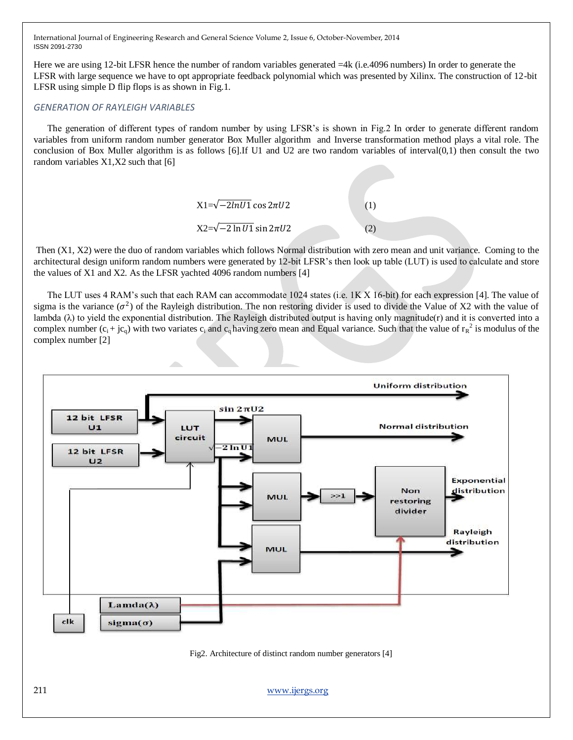Here we are using 12-bit LFSR hence the number of random variables generated  $=4k$  (i.e.4096 numbers) In order to generate the LFSR with large sequence we have to opt appropriate feedback polynomial which was presented by Xilinx. The construction of 12-bit LFSR using simple D flip flops is as shown in Fig.1.

## *GENERATION OF RAYLEIGH VARIABLES*

The generation of different types of random number by using LFSR's is shown in Fig.2 In order to generate different random variables from uniform random number generator Box Muller algorithm and Inverse transformation method plays a vital role. The conclusion of Box Muller algorithm is as follows [6].If U1 and U2 are two random variables of interval(0,1) then consult the two random variables X1,X2 such that [6]



Then (X1, X2) were the duo of random variables which follows Normal distribution with zero mean and unit variance. Coming to the architectural design uniform random numbers were generated by 12-bit LFSR's then look up table (LUT) is used to calculate and store the values of X1 and X2. As the LFSR yachted 4096 random numbers [4]

The LUT uses 4 RAM's such that each RAM can accommodate 1024 states (i.e. 1K X 16-bit) for each expression [4]. The value of sigma is the variance ( $\sigma^2$ ) of the Rayleigh distribution. The non restoring divider is used to divide the Value of X2 with the value of lambda  $(\lambda)$  to yield the exponential distribution. The Rayleigh distributed output is having only magnitude(r) and it is converted into a complex number  $(c_i + jc_q)$  with two variates  $c_i$  and  $c_q$  having zero mean and Equal variance. Such that the value of  $r_R^2$  is modulus of the complex number [2]



211 [www.ijergs.org](http://www.ijergs.org/)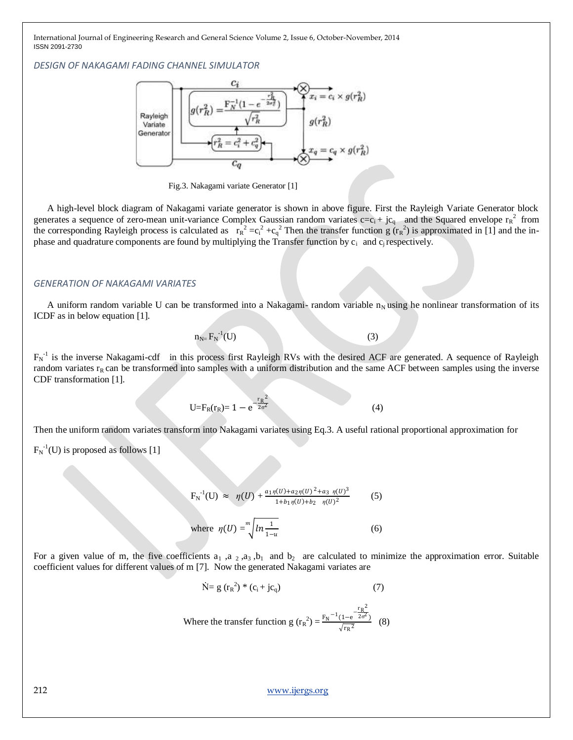## *DESIGN OF NAKAGAMI FADING CHANNEL SIMULATOR*



Fig.3. Nakagami variate Generator [1]

A high-level block diagram of Nakagami variate generator is shown in above figure. First the Rayleigh Variate Generator block generates a sequence of zero-mean unit-variance Complex Gaussian random variates  $c=c_i + jc_q$  and the Squared envelope  $r_R^2$  from the corresponding Rayleigh process is calculated as  $r_R^2 = c_i^2 + c_q^2$  Then the transfer function g  $(r_R^2)$  is approximated in [1] and the inphase and quadrature components are found by multiplying the Transfer function by  $c_i$  and  $c_j$  respectively.

#### *GENERATION OF NAKAGAMI VARIATES*

A uniform random variable U can be transformed into a Nakagami- random variable  $n_N$  using he nonlinear transformation of its ICDF as in below equation [1].

$$
n_{N=}F_N^{-1}(U)
$$
\n(3)

 $F_N^{-1}$  is the inverse Nakagami-cdf in this process first Rayleigh RVs with the desired ACF are generated. A sequence of Rayleigh random variates  $r_R$  can be transformed into samples with a uniform distribution and the same ACF between samples using the inverse CDF transformation [1].

$$
U = F_R(r_R) = 1 - e^{-\frac{r_R^2}{2\sigma^2}}
$$
 (4)

Then the uniform random variates transform into Nakagami variates using Eq.3. A useful rational proportional approximation for

 $F_N^{-1}(U)$  is proposed as follows [1]

$$
F_N^{-1}(U) \approx \eta(U) + \frac{a_1 \eta(U) + a_2 \eta(U)^2 + a_3 \eta(U)^3}{1 + b_1 \eta(U) + b_2 \eta(U)^2}
$$
 (5)  
where  $\eta(U) = \sqrt[m]{\ln \frac{1}{1-u}}$  (6)

For a given value of m, the five coefficients  $a_1$ ,  $a_2$ ,  $a_3$ ,  $b_1$  and  $b_2$  are calculated to minimize the approximation error. Suitable coefficient values for different values of m [7]. Now the generated Nakagami variates are

$$
\dot{N} = g (r_R^2) * (c_i + jc_q)
$$
 (7)

Where the transfer function g  $(r_R^2) = \frac{F_N^{-1}(1-e^{-\frac{r_R^2}{2\sigma^2}})}{\sqrt{r_R^2}}$  $2\sigma^2$ )  $\frac{(1-e^{-2\omega})}{\sqrt{r_R^2}}$  (8)

212 [www.ijergs.org](http://www.ijergs.org/)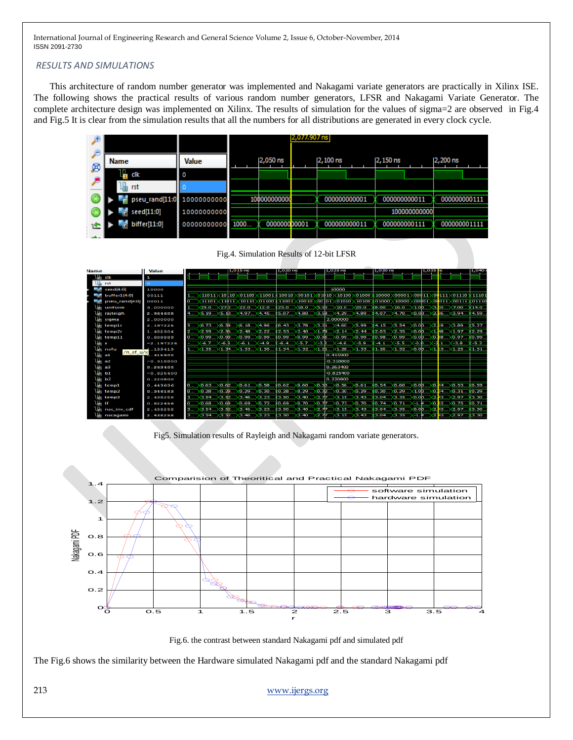## *RESULTS AND SIMULATIONS*

This architecture of random number generator was implemented and Nakagami variate generators are practically in Xilinx ISE. The following shows the practical results of various random number generators, LFSR and Nakagami Variate Generator. The complete architecture design was implemented on Xilinx. The results of simulation for the values of sigma=2 are observed in Fig.4 and Fig.5 It is clear from the simulation results that all the numbers for all distributions are generated in every clock cycle.

|    |              |                            |      |              | $2,077.907$ ns |              |              |              |
|----|--------------|----------------------------|------|--------------|----------------|--------------|--------------|--------------|
| Æ  | <b>Name</b>  | <b>Value</b>               |      | 2,050 ns     |                | 2,100 ns     | 2,150 ns     | 2,200 ns     |
| ø  | l∏, dk       | $^{\circ}$                 |      |              |                |              |              |              |
|    | rst<br>њ     |                            |      |              |                |              |              |              |
|    |              | pseu_rand[11:0 10000000000 |      | 100000000000 |                | 000000000001 | 000000000011 | 000000000111 |
|    | seed[11:0]   | 10000000000                |      |              |                |              | 100000000000 |              |
| 企上 | biffer[11:0] | 00000000000                | 1000 | 000000000001 |                | 000000000011 | 000000000111 | 000000001111 |
|    |              |                            |      |              |                |              |              |              |

Fig.4. Simulation Results of 12-bit LFSR

| Mame             |                            | Value        |  |  |                                               | 1,020 m                                                                                                                                   |  |          | 1,030 m |                                                                 |  |                                                                                                                                                                                                                                                     | почот             |
|------------------|----------------------------|--------------|--|--|-----------------------------------------------|-------------------------------------------------------------------------------------------------------------------------------------------|--|----------|---------|-----------------------------------------------------------------|--|-----------------------------------------------------------------------------------------------------------------------------------------------------------------------------------------------------------------------------------------------------|-------------------|
| Ш ак             |                            | $\mathbf{a}$ |  |  |                                               |                                                                                                                                           |  |          |         |                                                                 |  |                                                                                                                                                                                                                                                     |                   |
|                  | rst                        |              |  |  |                                               |                                                                                                                                           |  |          |         |                                                                 |  |                                                                                                                                                                                                                                                     |                   |
|                  | seed[4:0]                  | 10000        |  |  |                                               |                                                                                                                                           |  | 10000    |         |                                                                 |  |                                                                                                                                                                                                                                                     |                   |
|                  | buffer1[4:0]               | 00111        |  |  |                                               | $1$ $(11011)(101100)(01100)(11001)(10010)(00101)(01010)(10100)(01000)$                                                                    |  |          |         |                                                                 |  | (10000)(00001)(00011)(00111)(01110)(11101                                                                                                                                                                                                           |                   |
|                  | pseu rand[4:0]             | 00011        |  |  |                                               | $0$ (11101)(11011)(10110)(01100 (11001)(10010)(00401)(01010)(10100)                                                                       |  |          |         |                                                                 |  | 01000 (10000 00001 00011 00111 01110                                                                                                                                                                                                                |                   |
|                  | uniform                    | 0.000000     |  |  |                                               | 1. $\angle$ (29.0 $\angle$ (27.0 $\angle$ (22.0 $\angle$ (12.0 $\angle$ (25.0 $\angle$ (18.0 $\angle$ (5.00 $\angle$ (10.0 $\angle$ (20.0 |  |          |         | (8.00)(16.0)(1.0 <b>b</b> )(3. <mark>00)(7.00</mark>            |  |                                                                                                                                                                                                                                                     | Жичош             |
|                  | <b>Illi</b> rayleigh       | 2.964608     |  |  | 4.000 (5.49.00) (5.4 1.00 (4.9 2.00 (4.45.00) | (5.07)(4.00)(3.50)(4.20)(4.09                                                                                                             |  |          |         | $(4.07)(4.70)(0.00)(2.96)(4.94$                                 |  |                                                                                                                                                                                                                                                     | 1415911           |
|                  | <b>Il stama</b>            | 2.000000     |  |  |                                               |                                                                                                                                           |  | 2,000000 |         |                                                                 |  |                                                                                                                                                                                                                                                     |                   |
|                  | il. tempir                 | 2.197225     |  |  | $5$ (6, 73)(6, 59)(6, 10)(4, 96)              | $(6,43)(5,70)(3,21)(4,60)(5,99$                                                                                                           |  |          |         | $(4.15)(5.54)(0.00)(2.19)(3.09$                                 |  |                                                                                                                                                                                                                                                     | 5127%             |
|                  | temp2r                     | 1.402304     |  |  |                                               | 2. $\left(2, 59\right)$ (2.55)(2.48)(2.22)(2.53)(2.40)(1.79)(2.14)(2.44                                                                   |  |          |         | (2,03…)(2,35…)(0,0 <mark>0</mark> …)(1, <mark>48…)(1,97…</mark> |  |                                                                                                                                                                                                                                                     | 302129m           |
|                  | $\mathbb{R}$ temp11        | 0.000009     |  |  |                                               | 0 $(0.99)(0.99)(0.99)(0.99)(0.99)(0.99)(0.99)(0.95)(0.99)(0.99)$                                                                          |  |          |         | (0.98…)(0.99…)(0.00…)(0. <mark>58…)(0.97…</mark>                |  |                                                                                                                                                                                                                                                     | (0.99 m           |
| л. х             |                            | -2.197225    |  |  |                                               | $(4.9)(-6.7)(-6.5)(-6.1)(-4.9)(-6.4)(-5.7)(-3.2)(-4.6)(-5.9)$                                                                             |  |          |         |                                                                 |  | $(1,1,)(-5,5,)(-0,0,)(-3,1,)(-3,0)$                                                                                                                                                                                                                 | <b>CALIFORNIA</b> |
|                  | <b>E</b> notu<br>/n_of_u/x | 2.109419     |  |  |                                               | 1. $\{(1, 35)(1, 34)(1, 33)(1, 30)(1, 34)(1, 32)(1, 21)(1, 28)(1, 33$                                                                     |  |          |         |                                                                 |  | (1, 26  )(1, 32  )(0,0þ )(1, 13  )(1, 25  )(1, 31                                                                                                                                                                                                   |                   |
| ll at            |                            | 0.41000      |  |  |                                               |                                                                                                                                           |  | 0.415900 |         |                                                                 |  |                                                                                                                                                                                                                                                     |                   |
| J) a2            |                            | $= 0.010000$ |  |  |                                               |                                                                                                                                           |  | 0.318800 |         |                                                                 |  |                                                                                                                                                                                                                                                     |                   |
| 11 a a           |                            | 0.263400     |  |  |                                               |                                                                                                                                           |  | 0.263400 |         |                                                                 |  |                                                                                                                                                                                                                                                     |                   |
| $\mathbf{a}$ bi  |                            | $= 0.025400$ |  |  |                                               |                                                                                                                                           |  | 0.825400 |         |                                                                 |  |                                                                                                                                                                                                                                                     |                   |
| $\mathbf{F}$ b2  |                            | 0.220800     |  |  |                                               |                                                                                                                                           |  | 0.220800 |         |                                                                 |  |                                                                                                                                                                                                                                                     |                   |
| he e             | temp1                      | 0.449636     |  |  |                                               |                                                                                                                                           |  |          |         |                                                                 |  | $0.51$ $(0.63)(0.62)(0.61)(0.53)(0.62)(0.60)(0.55)(0.56)(0.61)(0.64)(0.60)(0.05)(0.44)(0.53)(0.59)(0.55)(0.55)(0.56)(0.57)(0.58)(0.59)(0.59)(0.59)(0.59)(0.59)(0.59)(0.59)(0.59)(0.59)(0.59)(0.59)(0.59)(0.59)(0.59)(0.59)(0$                       |                   |
|                  | $\mu$ temp2                | ロミコルモエ田コ     |  |  |                                               |                                                                                                                                           |  |          |         |                                                                 |  | $(0)(0.20)(0.20)(0.29)(0.30)(0.20)(0.29)(0.32)(0.30)(0.29)(0.30)(0.29)(1.00)(0.20)(0.34)(0.30)(0.30)(0.30)(0.30)(0.30)(0.30)(0.30)(0.30)(0.30)(0.30)(0.30)(0.30)(0.30)(0.30)(0.30)(0.30)(0.30)(0.30)(0.30)(0.30)(0.30)(0.30)($                      |                   |
|                  | <b>L</b> temp3             | 2.400250     |  |  |                                               |                                                                                                                                           |  |          |         |                                                                 |  | 3 >(3,54)(3,52)(3,46)(3,23)(3,50)(3,40)(2,77)(3,15)(3,43)(3,94)(3,35)(0,0p)(2,43)(2,97)(3,30                                                                                                                                                        |                   |
| $\mathbf{u}$ and |                            | 0.822456     |  |  |                                               |                                                                                                                                           |  |          |         |                                                                 |  | 0 $(0.60)(0.60)(0.69)(0.72)(0.69)(0.70)(0.71)(0.73)(0.70)(0.74)(0.74)(0.74)(0.1)(0.2)(0.75)(0.71)(0.71)(0.71)(0.71)(0.71)(0.71)(0.71)(0.71)(0.71)(0.71)(0.71)(0.71)(0.71)(0.71)(0.71)(0.71)(0.71)(0.71)(0.71)(0.71)(0.71)($                         |                   |
|                  | nac inv cdf                | 2.438258     |  |  |                                               |                                                                                                                                           |  |          |         |                                                                 |  | 3 )(3,54)(3,5k)(3,46)(3,23)(3,50)(3,40)(2,77)(3,15)(3,13)(3,35)(3,35)(0,0þ)(2,43)(2,97)(3,30                                                                                                                                                        |                   |
|                  | Il nacagami                | 2.438258     |  |  |                                               |                                                                                                                                           |  |          |         |                                                                 |  | $\frac{1}{2}$ $\frac{1}{2}$ $\frac{1}{2}$ $\frac{1}{2}$ . $\frac{1}{2}$ $\frac{1}{2}$ $\frac{1}{2}$ $\frac{1}{2}$ $\frac{1}{2}$ $\frac{1}{2}$ $\frac{1}{2}$ $\frac{1}{2}$ $\frac{1}{2}$ $\frac{1}{2}$ $\frac{1}{2}$ $\frac{1}{2}$ $\frac{1}{2}$ $\$ |                   |

Fig5. Simulation results of Rayleigh and Nakagami random variate generators.



Fig.6. the contrast between standard Nakagami pdf and simulated pdf

The Fig.6 shows the similarity between the Hardware simulated Nakagami pdf and the standard Nakagami pdf